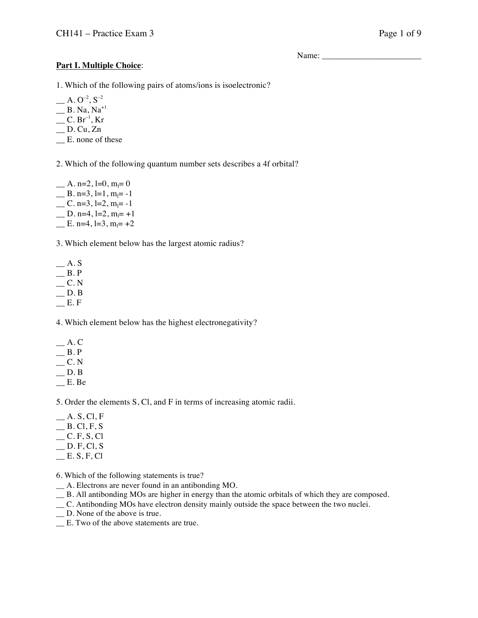Name: \_\_\_\_\_\_\_\_\_\_\_\_\_\_\_\_\_\_\_\_\_\_\_

# **Part I. Multiple Choice**:

1. Which of the following pairs of atoms/ions is isoelectronic?

 $\sim A. O^{-2}, S^{-2}$ 

- $\_\_\_\$ B. Na, Na<sup>+1</sup>
- $\_\_$  C. Br $^{-1}$ , Kr
- $\Box$  D. Cu, Zn
- \_\_ E. none of these

2. Which of the following quantum number sets describes a 4f orbital?

 $\mu$  A. n=2, l=0, m<sub>l</sub>= 0  $\angle$  B. n=3, l=1, m<sub>l</sub>=-1  $\angle$  C. n=3, l=2, m<sub>l</sub>= -1  $\Box$  D. n=4, l=2, m<sub>l</sub>= +1  $\equiv$  E. n=4, l=3, m<sub>l</sub>= +2

3. Which element below has the largest atomic radius?

- $A. S$  $B.P$  $\overline{\phantom{C}}$  C. N  $\equiv$  D. B
- $E. F$

4. Which element below has the highest electronegativity?

- $-$  A. C
- $\_\_\_\$ B. P
- $\overline{\phantom{0}}$  C. N
- $\_\_$  D. B
- $E. Be$

5. Order the elements S, Cl, and F in terms of increasing atomic radii.

- $A. S, C<sub>l</sub>, F$
- $B$ . Cl, F, S
- $C.F, S, C1$
- $\_$  D. F, Cl, S
- $E.S.F, Cl$

6. Which of the following statements is true?

- \_\_ A. Electrons are never found in an antibonding MO.
- \_\_ B. All antibonding MOs are higher in energy than the atomic orbitals of which they are composed.
- \_\_ C. Antibonding MOs have electron density mainly outside the space between the two nuclei.
- \_\_ D. None of the above is true.
- \_\_ E. Two of the above statements are true.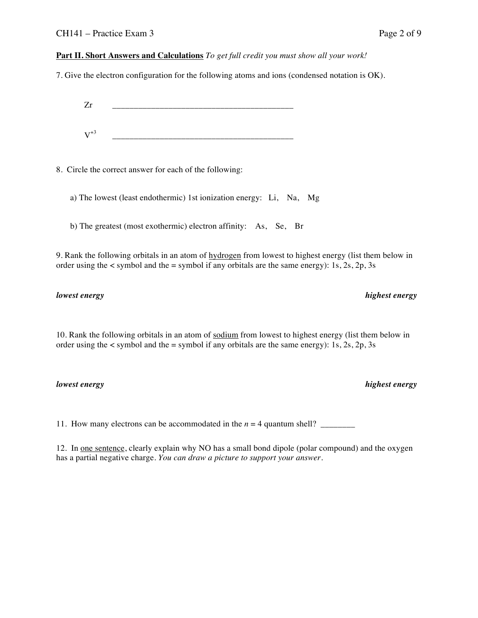## **Part II. Short Answers and Calculations** *To get full credit you must show all your work!*

7. Give the electron configuration for the following atoms and ions (condensed notation is OK).

 $Zr$  $V^{+3}$ 

8. Circle the correct answer for each of the following:

a) The lowest (least endothermic) 1st ionization energy: Li, Na, Mg

b) The greatest (most exothermic) electron affinity: As, Se, Br

9. Rank the following orbitals in an atom of hydrogen from lowest to highest energy (list them below in order using the  $\lt$  symbol and the  $=$  symbol if any orbitals are the same energy): 1s, 2s, 2p, 3s

10. Rank the following orbitals in an atom of sodium from lowest to highest energy (list them below in order using the  $\lt$  symbol and the  $=$  symbol if any orbitals are the same energy): 1s, 2s, 2p, 3s

*lowest energy highest energy*

11. How many electrons can be accommodated in the  $n = 4$  quantum shell?

12. In one sentence, clearly explain why NO has a small bond dipole (polar compound) and the oxygen has a partial negative charge. *You can draw a picture to support your answer.*

### *lowest energy highest energy*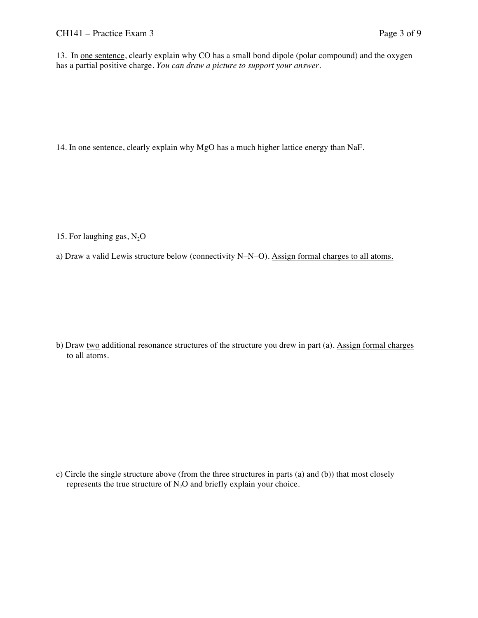13. In one sentence, clearly explain why CO has a small bond dipole (polar compound) and the oxygen has a partial positive charge. *You can draw a picture to support your answer.*

14. In one sentence, clearly explain why MgO has a much higher lattice energy than NaF.

15. For laughing gas,  $N_2O$ 

a) Draw a valid Lewis structure below (connectivity N–N–O). Assign formal charges to all atoms.

b) Draw two additional resonance structures of the structure you drew in part (a). Assign formal charges to all atoms.

c) Circle the single structure above (from the three structures in parts (a) and (b)) that most closely represents the true structure of  $N_2O$  and briefly explain your choice.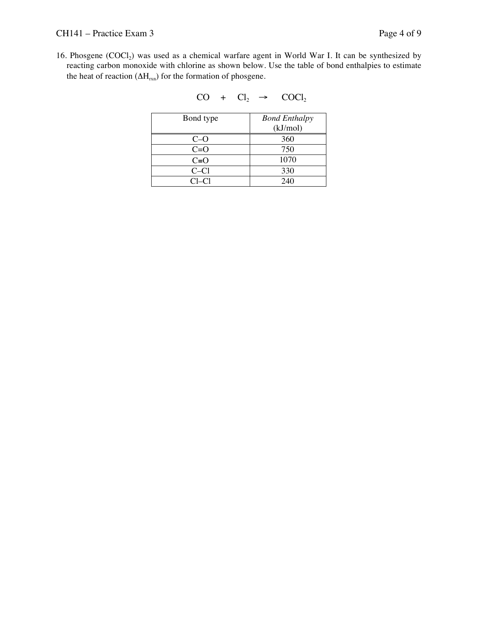16. Phosgene (COCl<sub>2</sub>) was used as a chemical warfare agent in World War I. It can be synthesized by reacting carbon monoxide with chlorine as shown below. Use the table of bond enthalpies to estimate the heat of reaction  $(\Delta H_{rxn})$  for the formation of phosgene.

$$
CO + Cl_2 \rightarrow COCl_2
$$

| Bond type | <b>Bond Enthalpy</b> |
|-----------|----------------------|
|           | (kJ/mol)             |
| $C=O$     | 360                  |
| $C=O$     | 750                  |
| $C = O$   | 1070                 |
| $C-C1$    | 330                  |
| $Cl-Cl$   | 240                  |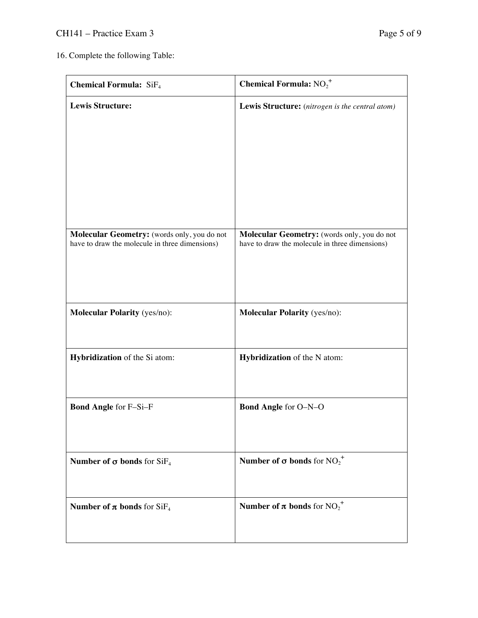16. Complete the following Table:

| <b>Chemical Formula:</b> SiF <sub>4</sub>                                                     | <b>Chemical Formula:</b> $NO_2^+$                                                             |
|-----------------------------------------------------------------------------------------------|-----------------------------------------------------------------------------------------------|
| <b>Lewis Structure:</b>                                                                       | Lewis Structure: (nitrogen is the central atom)                                               |
| Molecular Geometry: (words only, you do not<br>have to draw the molecule in three dimensions) | Molecular Geometry: (words only, you do not<br>have to draw the molecule in three dimensions) |
| <b>Molecular Polarity</b> (yes/no):                                                           | <b>Molecular Polarity</b> (yes/no):                                                           |
| <b>Hybridization</b> of the Si atom:                                                          | <b>Hybridization</b> of the N atom:                                                           |
| <b>Bond Angle for F-Si-F</b>                                                                  | <b>Bond Angle for O-N-O</b>                                                                   |
| <b>Number of <math>\sigma</math> bonds</b> for $SiF_4$                                        | <b>Number of <math>\sigma</math> bonds</b> for NO <sub>2</sub> <sup>+</sup>                   |
| <b>Number of <math>\pi</math> bonds</b> for SiF <sub>4</sub>                                  | <b>Number of <math>\pi</math> bonds</b> for NO <sub>2</sub> <sup>+</sup>                      |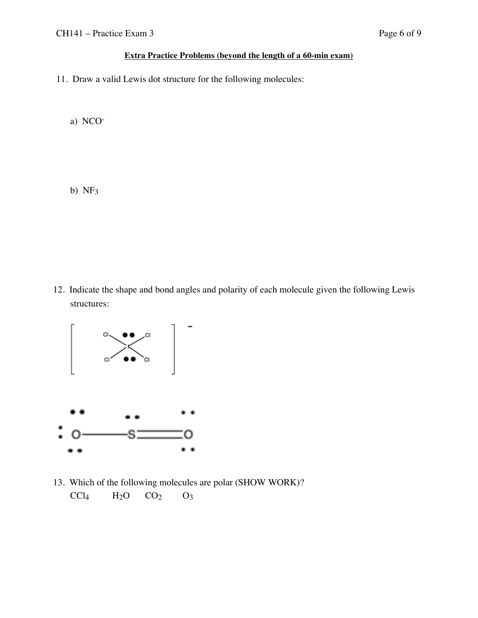# **Extra Practice Problems (beyond the length of a 60-min exam)**

11. Draw a valid Lewis dot structure for the following molecules:

a) NCO-

b)  $NF<sub>3</sub>$ 

12. Indicate the shape and bond angles and polarity of each molecule given the following Lewis structures:



13. Which of the following molecules are polar (SHOW WORK)?  $CCl_4$   $H_2O$   $CO_2$   $O_3$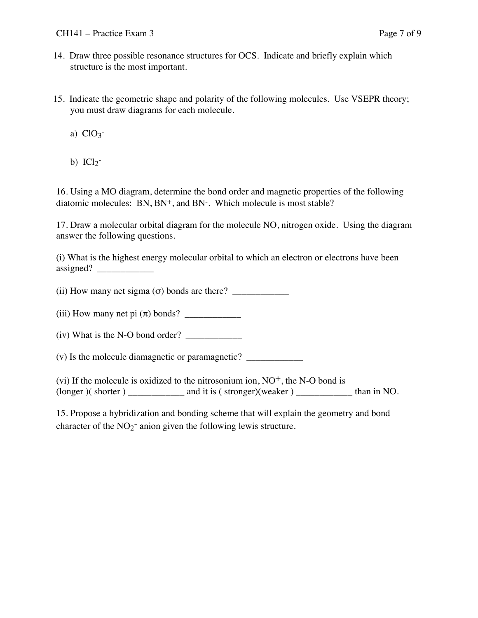- 14. Draw three possible resonance structures for OCS. Indicate and briefly explain which structure is the most important.
- 15. Indicate the geometric shape and polarity of the following molecules. Use VSEPR theory; you must draw diagrams for each molecule.
	- a)  $ClO<sub>3</sub>$
	- b)  $ICl2^-$

16. Using a MO diagram, determine the bond order and magnetic properties of the following diatomic molecules: BN, BN<sup>+</sup>, and BN<sup>-</sup>. Which molecule is most stable?

17. Draw a molecular orbital diagram for the molecule NO, nitrogen oxide. Using the diagram answer the following questions.

(i) What is the highest energy molecular orbital to which an electron or electrons have been  $\text{assigned?}$ 

(ii) How many net sigma (σ) bonds are there? \_\_\_\_\_\_\_\_\_\_\_\_

(iii) How many net pi  $(\pi)$  bonds?

 $(iv)$  What is the N-O bond order?  $\frac{1}{2}$ 

(v) Is the molecule diamagnetic or paramagnetic? \_\_\_\_\_\_\_\_\_\_\_\_

(vi) If the molecule is oxidized to the nitrosonium ion,  $NO<sup>+</sup>$ , the N-O bond is (longer )( shorter ) \_\_\_\_\_\_\_\_\_\_\_\_ and it is ( stronger)(weaker ) \_\_\_\_\_\_\_\_\_\_\_\_ than in NO.

15. Propose a hybridization and bonding scheme that will explain the geometry and bond character of the  $NO<sub>2</sub><sup>-</sup>$  anion given the following lewis structure.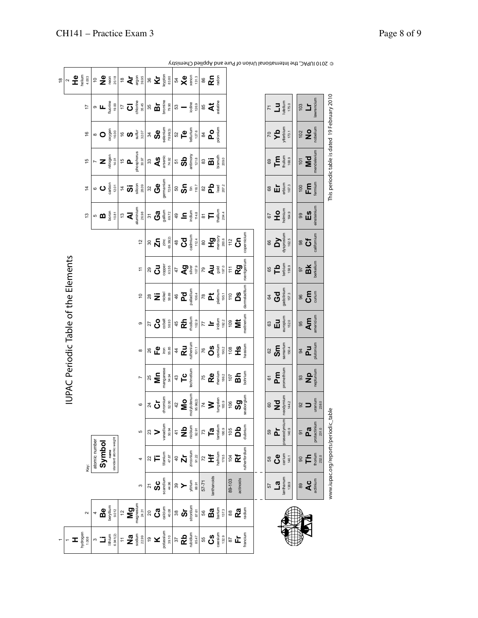| $\frac{8}{1}$                        | $\sim$ | <b>PERE</b>                                                    |               | $e \frac{1}{2}$                                                                              | neon | 20.18                  |             |                   | $\overset{\circ}{\blacktriangle} \check{\blacktriangle}$                                                                                                                                                                                                                                                                                                                                                                                                                                                                      |                |               | $\sum_{\substack{\text{is odd}\\ \text{is odd}}}$                                                                                                                                                                                                                                                                                                                                                                                       |                | $54$ $\times$ $\frac{6}{9}$                                                                                                                                                                                                                                                                                                                                                                                                     | 131.3                                               | $86\,$ | $R_{\text{max}}$                                                                                                                                                                                                                                                                                                                                    |                    |       |               |                                                                  |               |                |                                                                                                                                                                                                                                                                                                                                                                                                                |                   |       |                    |                                                                        |                                                                                                           |                                               |
|--------------------------------------|--------|----------------------------------------------------------------|---------------|----------------------------------------------------------------------------------------------|------|------------------------|-------------|-------------------|-------------------------------------------------------------------------------------------------------------------------------------------------------------------------------------------------------------------------------------------------------------------------------------------------------------------------------------------------------------------------------------------------------------------------------------------------------------------------------------------------------------------------------|----------------|---------------|-----------------------------------------------------------------------------------------------------------------------------------------------------------------------------------------------------------------------------------------------------------------------------------------------------------------------------------------------------------------------------------------------------------------------------------------|----------------|---------------------------------------------------------------------------------------------------------------------------------------------------------------------------------------------------------------------------------------------------------------------------------------------------------------------------------------------------------------------------------------------------------------------------------|-----------------------------------------------------|--------|-----------------------------------------------------------------------------------------------------------------------------------------------------------------------------------------------------------------------------------------------------------------------------------------------------------------------------------------------------|--------------------|-------|---------------|------------------------------------------------------------------|---------------|----------------|----------------------------------------------------------------------------------------------------------------------------------------------------------------------------------------------------------------------------------------------------------------------------------------------------------------------------------------------------------------------------------------------------------------|-------------------|-------|--------------------|------------------------------------------------------------------------|-----------------------------------------------------------------------------------------------------------|-----------------------------------------------|
|                                      |        | $\overline{1}$                                                 |               | $\overline{\mathbf{L}}$ is a set $\overline{\mathbf{L}}$ is a set of $\overline{\mathbf{L}}$ |      |                        |             | ະ ບ               | chlorine<br>35.45                                                                                                                                                                                                                                                                                                                                                                                                                                                                                                             |                |               | $\begin{array}{c} {\bf 35}\\ \bf 56\\ \hline \text{Bromine}\\ \text{1000}\\ \text{11.5}\end{array}$                                                                                                                                                                                                                                                                                                                                     |                | $5^{\circ}$ $-$                                                                                                                                                                                                                                                                                                                                                                                                                 | $\begin{array}{c}\n 126.9 \\  -126.9\n \end{array}$ |        | $\frac{85}{4}$                                                                                                                                                                                                                                                                                                                                      | astatine           |       |               |                                                                  |               |                | $\begin{array}{c}\n\mathbf{7} \\ \blacksquare\n\end{array}$                                                                                                                                                                                                                                                                                                                                                    |                   |       | 103                | Ľ                                                                      | lawrencium                                                                                                |                                               |
|                                      |        | $\frac{6}{2}$                                                  |               | $^{\circ}$ O                                                                                 |      | oxygen<br>16.00        |             | ຼ $\infty$        | 32.07                                                                                                                                                                                                                                                                                                                                                                                                                                                                                                                         |                |               | $\sum_{n=0}^{34}\bigoplus_{\substack{3\leq n\leq 3\\ \text{is odd}}}$                                                                                                                                                                                                                                                                                                                                                                   |                | $52$<br>$\frac{1}{2}$<br>$\frac{1}{2}$<br>$\frac{1}{2}$<br>$\frac{1}{2}$<br>$\frac{1}{2}$                                                                                                                                                                                                                                                                                                                                       |                                                     |        | $\frac{a}{\sqrt{2}}$ of $\frac{a}{\sqrt{2}}$                                                                                                                                                                                                                                                                                                        |                    |       |               |                                                                  |               |                | $\sum_{\substack{p \text{ the number }\\ \text{time}}}$                                                                                                                                                                                                                                                                                                                                                        |                   |       | 102                | $N_{\text{obs}}$                                                       |                                                                                                           |                                               |
|                                      |        | $\frac{15}{2}$                                                 |               | $\sum_{\substack{\text{time on} \\ \text{time}}}$                                            |      |                        |             | $\frac{1}{10}$ or | phosphorus<br>30.97                                                                                                                                                                                                                                                                                                                                                                                                                                                                                                           |                |               | $\begin{matrix} 33 \\ \text{As} \\ \text{as} \\ \text{as} \\ \text{as} \end{matrix}$                                                                                                                                                                                                                                                                                                                                                    |                | $\begin{bmatrix} 2 \\ 3 \\ 4 \end{bmatrix}$                                                                                                                                                                                                                                                                                                                                                                                     |                                                     |        | $\begin{matrix} 3 \\ 3 \\ 2 \\ 3 \\ 3 \\ 3 \\ 3 \end{matrix}$                                                                                                                                                                                                                                                                                       |                    |       |               |                                                                  |               | 69             | $\begin{array}{c} \displaystyle \mathop{\hbox{Hom}}_{\text{filling}} \end{array}$                                                                                                                                                                                                                                                                                                                              |                   |       |                    | 101 $\overline{\text{Md}}$ <sub>mendelevium</sub>                      |                                                                                                           | This periodic table is dated 19 February 2010 |
|                                      |        | $\frac{4}{3}$                                                  |               | ∘ ບ                                                                                          |      | carbon<br>12.01        |             |                   | $\overset{\text{\tiny def}}{\leftarrow} \mathbf{2} \overset{\text{\tiny def}}{\leftarrow} \mathbf{3} \overset{\text{\tiny def}}{\leftarrow} \mathbf{4}$                                                                                                                                                                                                                                                                                                                                                                       |                |               | 32<br>Gemanium<br>germanium<br>72.64                                                                                                                                                                                                                                                                                                                                                                                                    |                | $\begin{array}{c} \mathbb{S} \\ \mathbb{S} \end{array} \begin{array}{c} \mathbb{S} \\ \mathbb{S} \end{array} \begin{array}{c} \mathbb{S} \\ \mathbb{S} \end{array}$                                                                                                                                                                                                                                                             |                                                     |        | $\begin{picture}(20,5) \put(0,0) {\put(0,0){15pt} \put(0,0){\line(1,0){15pt} \put(0,0){\line(1,0){15pt} \put(0,0){\line(1,0){15pt} \put(0,0){\line(1,0){15pt} \put(0,0){\line(1,0){15pt} \put(0,0){\line(1,0){15pt} \put(0,0){\line(1,0){15pt} \put(0,0){\line(1,0){15pt} \put(0,0){\line(1,0){15pt} \put(0,0){\line(1,0){15pt} \put(0,0){\line(1,$ |                    |       |               |                                                                  |               | $^{68}$        | $\begin{array}{l} \vspace{2mm} \rule{0mm}{2mm} \rule{0mm}{2mm} \rule{0mm}{2mm} \rule{0mm}{2mm} \rule{0mm}{2mm} \rule{0mm}{2mm} \rule{0mm}{2mm} \rule{0mm}{2mm} \rule{0mm}{2mm} \rule{0mm}{2mm} \rule{0mm}{2mm} \rule{0mm}{2mm} \rule{0mm}{2mm} \rule{0mm}{2mm} \rule{0mm}{2mm} \rule{0mm}{2mm} \rule{0mm}{2mm} \rule{0mm}{2mm} \rule{0mm}{2mm} \rule{0mm}{2mm} \rule{0mm}{2mm} \rule{0mm}{2mm} \rule{0mm}{2mm$ |                   |       | 100                | $F_{\text{enium}}$                                                     |                                                                                                           |                                               |
|                                      |        | $\frac{3}{2}$                                                  |               |                                                                                              |      |                        |             |                   | $\begin{array}{c} \n 13 \\  \hline\n \text{Al} \\  \text{Al} \\  \text{Al} \\  \text{Al} \\  \text{Al} \\  \text{Al} \\  \text{Al} \\  \text{Al} \\  \text{Al} \\  \text{Al} \\  \text{Al} \\  \text{Al} \\  \text{Al} \\  \text{Al} \\  \text{Al} \\  \text{Al} \\  \text{Al} \\  \text{Al} \\  \text{Al} \\  \text{Al} \\  \text{Al} \\  \text{Al} \\  \text{Al} \\  \text{Al} \\  \text{Al} \\  \text{Al} \\  \text{Al} \\  \text{Al} \\  \text{Al} \\  \text{Al} \\  \text{Al} \\  \text{Al} \\  \text{Al} \\  \text{Al}$ |                |               | $\overline{\mathbf{S}}\ \overline{\mathbf{S}}_{\text{min}}^{\text{max}}$                                                                                                                                                                                                                                                                                                                                                                | 49             | $\underline{\mathbf{c}}$                                                                                                                                                                                                                                                                                                                                                                                                        | 114.8                                               |        | ≌ ⊵                                                                                                                                                                                                                                                                                                                                                 | thallium<br>204.4  |       |               |                                                                  |               |                | $\overline{5}$ $\overline{1}$ $\overline{2}$ $\overline{5}$ $\overline{4}$ $\overline{3}$ $\overline{4}$ $\overline{5}$ $\overline{4}$ $\overline{5}$ $\overline{5}$ $\overline{5}$ $\overline{5}$                                                                                                                                                                                                             |                   |       |                    | $\begin{matrix}\n\mathbf{9} \\ \mathbf{5} \\ \mathbf{1}\n\end{matrix}$ |                                                                                                           |                                               |
|                                      |        |                                                                |               |                                                                                              |      |                        |             |                   | 12                                                                                                                                                                                                                                                                                                                                                                                                                                                                                                                            |                |               | $\begin{matrix} \mathbb{S} & \mathbb{S} \\ \mathbb{S} & \mathbb{S} \\ \mathbb{N} & \mathbb{S} \end{matrix} \begin{matrix} \mathbb{S} \\ \mathbb{S} \\ \mathbb{S} \end{matrix}$                                                                                                                                                                                                                                                          |                | $\overset{48}{\text{Cd}}$                                                                                                                                                                                                                                                                                                                                                                                                       |                                                     |        | $\overset{\odot}{\mathbf{F}}\overset{\mathbf{D}}{\mathbf{F}}\overset{\mathbf{F}}{\underset{\mathbf{F}}{\mathbf{F}}}\overset{\mathbf{F}}{\overset{\mathbf{G}}{\mathbf{F}}}}\overset{\mathbf{F}}{\mathbf{F}}$                                                                                                                                         |                    |       |               | $\overset{\scriptscriptstyle \cong}{\scriptscriptstyle \sim}$ ວົ | copernicium   |                | $\begin{bmatrix} 66 \\ \text{Oy} \\ \text{Oysproslum} \\ \text{162.5} \\ \end{bmatrix}$                                                                                                                                                                                                                                                                                                                        |                   |       |                    | $\frac{1}{3}$ ចិ                                                       | californium                                                                                               |                                               |
|                                      |        |                                                                |               |                                                                                              |      |                        |             |                   | <u>h</u>                                                                                                                                                                                                                                                                                                                                                                                                                                                                                                                      |                |               | $\begin{matrix} \mathbb{R} \\ \mathbb{C} \end{matrix} \begin{matrix} \mathbb{R} \\ \mathbb{R} \\ \mathbb{R} \end{matrix}$                                                                                                                                                                                                                                                                                                               |                | $rac{1}{4}$ $\frac{1}{4}$ $\frac{1}{8}$ $\frac{1}{8}$ $\frac{1}{8}$                                                                                                                                                                                                                                                                                                                                                             |                                                     |        | $\begin{matrix} 5 \\ 4 \\ 3 \\ 6 \\ 7 \end{matrix}$                                                                                                                                                                                                                                                                                                 |                    |       |               | $\frac{1}{2}$<br>Rg<br>reenium                                   |               | 65             | $\mathbf{a}$                                                                                                                                                                                                                                                                                                                                                                                                   | terbium<br>158.9  |       |                    | 97<br>BK<br>bekellum                                                   |                                                                                                           |                                               |
| IUPAC Periodic Table of the Elements |        |                                                                |               |                                                                                              |      |                        |             |                   | $\overline{0}$                                                                                                                                                                                                                                                                                                                                                                                                                                                                                                                |                |               | $8\sum_{\substack{80\\ 68}}$                                                                                                                                                                                                                                                                                                                                                                                                            | $\frac{4}{6}$  | $P_{\text{adium}}$                                                                                                                                                                                                                                                                                                                                                                                                              |                                                     |        | $\frac{1}{\sqrt{2}}$                                                                                                                                                                                                                                                                                                                                | platinum<br>195.1  |       |               | ິ⊂<br>ລິ                                                         | darmstadtium  | 64             | $\frac{Gd}{\text{gadulum}}$                                                                                                                                                                                                                                                                                                                                                                                    |                   |       | 96                 | $C_{\text{min}}$                                                       |                                                                                                           |                                               |
|                                      |        |                                                                |               |                                                                                              |      |                        |             |                   | ၜ                                                                                                                                                                                                                                                                                                                                                                                                                                                                                                                             |                |               | $\frac{27}{9}$ $\frac{6}{9}$ $\frac{4}{9}$ $\frac{3}{9}$                                                                                                                                                                                                                                                                                                                                                                                | 45             | $\begin{array}{c} \text{Rb} \\ \text{Rb} \\ \text{Rb} \\ \text{Rb} \\ \text{Rb} \\ \text{Rb} \\ \text{Rb} \\ \text{Rb} \\ \text{Rb} \\ \text{Rb} \\ \text{Rb} \\ \text{Rb} \\ \text{Rb} \\ \text{Rb} \\ \text{Rb} \\ \text{Rb} \\ \text{Rb} \\ \text{Rb} \\ \text{Rb} \\ \text{Rb} \\ \text{Rb} \\ \text{Rb} \\ \text{Rb} \\ \text{Rb} \\ \text{Rb} \\ \text{Rb} \\ \text{Rb} \\ \text{Rb} \\ \text{Rb} \\ \text{Rb} \\ \text{$ |                                                     |        | $\frac{1}{2}$                                                                                                                                                                                                                                                                                                                                       | iridium<br>$192.2$ |       |               | $\frac{1}{2}$                                                    | meitherium    | 63             | Εu                                                                                                                                                                                                                                                                                                                                                                                                             | europium<br>152.0 |       | 95                 | $\mathbf{A}$ m                                                         |                                                                                                           |                                               |
|                                      |        |                                                                |               |                                                                                              |      |                        |             |                   | $\infty$                                                                                                                                                                                                                                                                                                                                                                                                                                                                                                                      |                |               | $86$ $\mathbf{R}$ $\frac{5}{2}$                                                                                                                                                                                                                                                                                                                                                                                                         |                | $\frac{4}{\sqrt{2}}$                                                                                                                                                                                                                                                                                                                                                                                                            |                                                     |        | $\overset{\text{\tiny{76}}}{\mathbf{0}}\overset{\text{\tiny{8}}}{\underset{\text{\tiny{802}}}{\mathbf{5}}}$                                                                                                                                                                                                                                         |                    |       | 108           | $\frac{1}{2}$                                                    |               | 62             | $\mathsf{Sm}$                                                                                                                                                                                                                                                                                                                                                                                                  | samarium<br>150.4 |       |                    | $\begin{matrix} 4 \\ 0 \\ 0 \\ 0 \\ \end{matrix}$                      |                                                                                                           |                                               |
|                                      |        |                                                                |               |                                                                                              |      |                        |             |                   |                                                                                                                                                                                                                                                                                                                                                                                                                                                                                                                               |                |               | $\begin{bmatrix} 25 \\ 25 \\ \text{Mn} \end{bmatrix}$                                                                                                                                                                                                                                                                                                                                                                                   |                | $+3$<br>$+6$<br>$+6$<br>$+6$<br>$+6$<br>$+6$<br>$+6$<br>$+6$<br>$+6$<br>$+6$<br>$+6$<br>$+6$<br>$+6$<br>$+6$<br>$+6$<br>$+6$<br>$+6$<br>$+6$<br>$+6$<br>$+6$<br>$+6$<br>$+6$<br>$+6$<br>$+6$<br>$+6$<br>$+6$<br>$+6$<br>$+6$<br>$+6$<br>$+6$<br>$+6$<br>$+6$<br>$+6$<br><br><br><br><br><br><br><br><br><br><br><br><br><br><br><br><br><br><br><br><br>                                                                        |                                                     |        | $\frac{75}{R}$<br>Remium<br>186.2                                                                                                                                                                                                                                                                                                                   |                    |       |               | $\frac{1}{2}$ in $\frac{1}{2}$                                   |               | $\overline{6}$ | $P_{\overline{D}}$                                                                                                                                                                                                                                                                                                                                                                                             | promethium        |       |                    | $\mathbf{S}^3$<br>Mp                                                   |                                                                                                           |                                               |
|                                      |        |                                                                |               |                                                                                              |      |                        |             |                   | $\circ$                                                                                                                                                                                                                                                                                                                                                                                                                                                                                                                       |                |               | $\sum_{\substack{\text{the origin}\\ \text{of } \mathbb{R} \text{ is odd}}}$                                                                                                                                                                                                                                                                                                                                                            | 42             | $\begin{bmatrix} \text{MO} \\ \text{molybenum} \end{bmatrix}$   molybenum                                                                                                                                                                                                                                                                                                                                                       |                                                     |        | $\zeta$                                                                                                                                                                                                                                                                                                                                             | tungsten<br>183.9  |       | 106           | $\frac{3}{6}$                                                    |               | 60             | $\begin{bmatrix}\n\mathbf{N} \mathbf{d} \\ \mathbf{d} \\ \mathbf{d} \\ \mathbf{d} \\ \mathbf{d} \\ \mathbf{d} \\ \mathbf{d}\n\end{bmatrix}$                                                                                                                                                                                                                                                                    |                   |       |                    | $\frac{1}{2}$                                                          | $uranium$<br>$238.0$                                                                                      |                                               |
|                                      |        |                                                                |               |                                                                                              |      |                        |             |                   |                                                                                                                                                                                                                                                                                                                                                                                                                                                                                                                               |                |               | vanadium<br>50.94                                                                                                                                                                                                                                                                                                                                                                                                                       |                | $47$<br>MD<br>$\frac{1}{2}$<br>$\frac{1}{2}$<br>$\frac{1}{2}$<br>$\frac{1}{2}$<br>$\frac{1}{2}$<br>$\frac{1}{2}$                                                                                                                                                                                                                                                                                                                |                                                     |        | $\frac{1}{2}$ ິໂ                                                                                                                                                                                                                                                                                                                                    | tantalum<br>180.9  |       | 105           | $\mathbf{a}$                                                     |               |                | និ $\sum_{i=1}^{n}$                                                                                                                                                                                                                                                                                                                                                                                            | oraseodymium      | 140.9 | $\overline{\circ}$ | $\mathbf{z}$                                                           | protactinium<br>231.0                                                                                     |                                               |
|                                      |        | Key:                                                           | atomic number | Symbol                                                                                       | name | standard atomic weight |             |                   |                                                                                                                                                                                                                                                                                                                                                                                                                                                                                                                               |                |               | titanium<br>47.87                                                                                                                                                                                                                                                                                                                                                                                                                       | $\overline{a}$ | ù                                                                                                                                                                                                                                                                                                                                                                                                                               | zirconium<br>91.22                                  |        | $\stackrel{\sim}{\phantom{}_{\sim}}\frac{\star}{\pm}$                                                                                                                                                                                                                                                                                               | hafnium            | 178.5 | $\frac{1}{2}$ | Ĕ                                                                | rutherfordium | 58             | ပီ                                                                                                                                                                                                                                                                                                                                                                                                             | cerium            | 140.1 | 8                  |                                                                        | $\begin{array}{c} \mathbf{T} \mathbf{h} \\ \text{from } \mathbb{R} \\ \text{for } \mathbb{R} \end{array}$ |                                               |
|                                      |        |                                                                |               |                                                                                              |      |                        |             |                   | S                                                                                                                                                                                                                                                                                                                                                                                                                                                                                                                             | $\overline{2}$ | $\frac{3}{2}$ | 44.96                                                                                                                                                                                                                                                                                                                                                                                                                                   |                | $\frac{1}{2}$                                                                                                                                                                                                                                                                                                                                                                                                                   | yttrium<br>88.91                                    | 57-71  | anthanoids                                                                                                                                                                                                                                                                                                                                          |                    |       | 89-103        | actinoids                                                        |               | 57             | $\begin{array}{c}\n\blacksquare a \\ \blacksquare a\n\end{array}$                                                                                                                                                                                                                                                                                                                                              |                   | 138.9 | 89                 | Ac<br>actinium                                                         |                                                                                                           | www.iupac.org/reports/periodic_table          |
|                                      |        | $\mathbf{\Omega}$                                              |               | $B$ e<br>beryllium                                                                           |      | 9.012                  | $\tilde{c}$ |                   | $M_{\mathbf{g}}$                                                                                                                                                                                                                                                                                                                                                                                                                                                                                                              | $20\,$         | ပိဳ           | calcium<br>40.08                                                                                                                                                                                                                                                                                                                                                                                                                        | $38\,$         | တ်                                                                                                                                                                                                                                                                                                                                                                                                                              | ${\rm stron} {\rm turn} \\ 87.61$                   | 56     | <b>Ba</b>                                                                                                                                                                                                                                                                                                                                           |                    | 137.3 | 88            | Ra                                                               |               |                |                                                                                                                                                                                                                                                                                                                                                                                                                |                   |       |                    |                                                                        |                                                                                                           |                                               |
|                                      |        | $\begin{array}{c}\n\bullet \\ \bullet \\ \bullet\n\end{array}$ | ო             |                                                                                              |      |                        |             |                   | $\begin{array}{c} \pm \ {\displaystyle \mathop{\mathrm{sgn}}_{\mathrm{sum}}^{0.95} } \end{array}$                                                                                                                                                                                                                                                                                                                                                                                                                             | $\overline{9}$ |               | $\begin{array}{c} \big\vert\hskip-2pt\big\vert\hskip-2pt\big\vert\hskip-2pt\big\vert\hskip-2pt\big\vert\hskip-2pt\big\vert\hskip-2pt\big\vert\hskip-2pt\big\vert\hskip-2pt\big\vert\hskip-2pt\big\vert\hskip-2pt\big\vert\hskip-2pt\big\vert\hskip-2pt\big\vert\hskip-2pt\big\vert\hskip-2pt\big\vert\hskip-2pt\big\vert\hskip-2pt\big\vert\hskip-2pt\big\vert\hskip-2pt\big\vert\hskip-2pt\big\vert\hskip-2pt\big\vert\hskip-2pt\big\$ | 57             | $R_{\text{signal}}$                                                                                                                                                                                                                                                                                                                                                                                                             |                                                     | 55     | $c_{\text{se}}^{\text{S}}$                                                                                                                                                                                                                                                                                                                          |                    | 132.9 | 28            | ՟                                                                | francium      |                |                                                                                                                                                                                                                                                                                                                                                                                                                |                   |       |                    |                                                                        |                                                                                                           |                                               |

 $\otimes$  2010 IUPAC, the International Union of Pure and Applied Chemistry